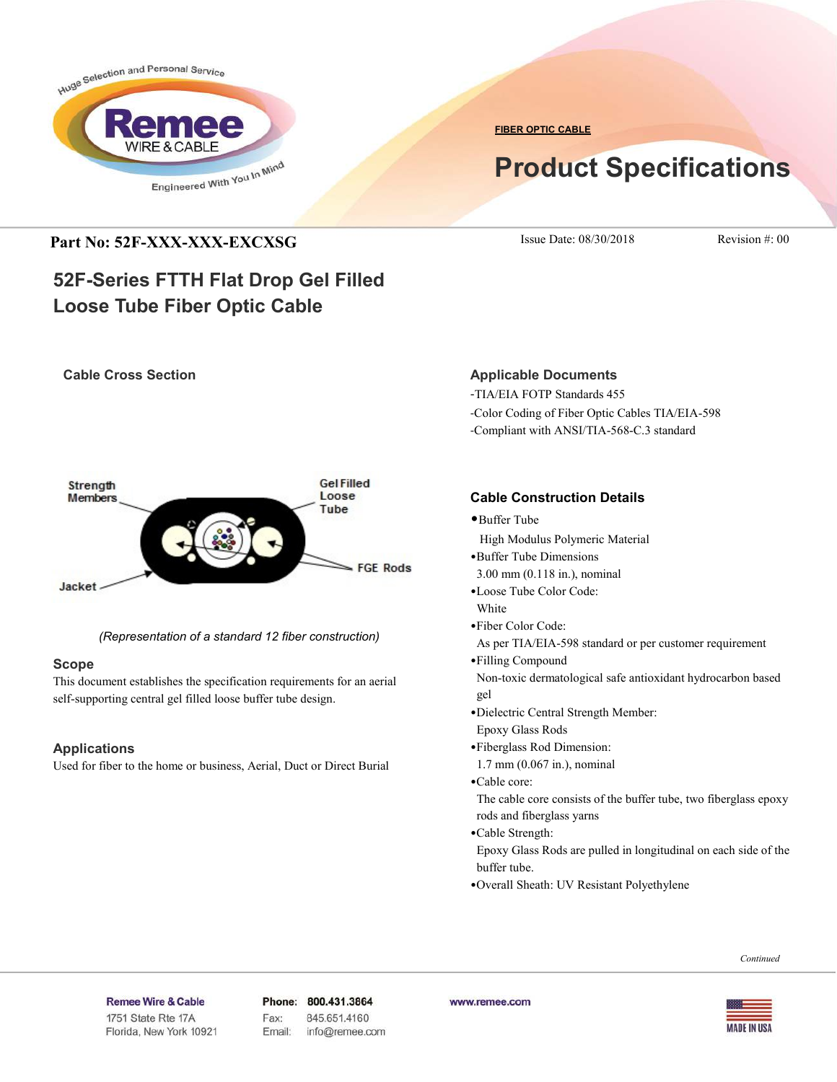

**FIBER OPTIC CABLE**

# **Product Specifications**

## **Part No: 52F-XXX-XXX-EXCXSG** Issue Date: 08/30/2018 Revision #: 00

## **52F-Series FTTH Flat Drop Gel Filled Loose Tube Fiber Optic Cable**

## **Cable Cross Section**



*(Representation of a standard 12 fiber construction)*

## **Scope**

This document establishes the specification requirements for an aerial self-supporting central gel filled loose buffer tube design.

## **Applications**

Used for fiber to the home or business, Aerial, Duct or Direct Burial

## **Applicable Documents**

-TIA/EIA FOTP Standards 455 -Color Coding of Fiber Optic Cables TIA/EIA-598 -Compliant with ANSI/TIA-568-C.3 standard

## **Cable Construction Details**

- •Buffer Tube
- High Modulus Polymeric Material
- •Buffer Tube Dimensions
- 3.00 mm (0.118 in.), nominal
- •Loose Tube Color Code:
- White
- •Fiber Color Code:

As per TIA/EIA-598 standard or per customer requirement

- •Filling Compound Non-toxic dermatological safe antioxidant hydrocarbon based gel
- •Dielectric Central Strength Member:
- Epoxy Glass Rods
- •Fiberglass Rod Dimension:
- 1.7 mm (0.067 in.), nominal
- •Cable core:

 The cable core consists of the buffer tube, two fiberglass epoxy rods and fiberglass yarns

•Cable Strength:

 Epoxy Glass Rods are pulled in longitudinal on each side of the buffer tube.

•Overall Sheath: UV Resistant Polyethylene

#### *Continued*

#### Remee Wire & Cable Issue No.: 05

Florida, New York 10921

Phone: 800.431.3864 Fax: 845.651.4160 Email: info@remee.com www.remee.com

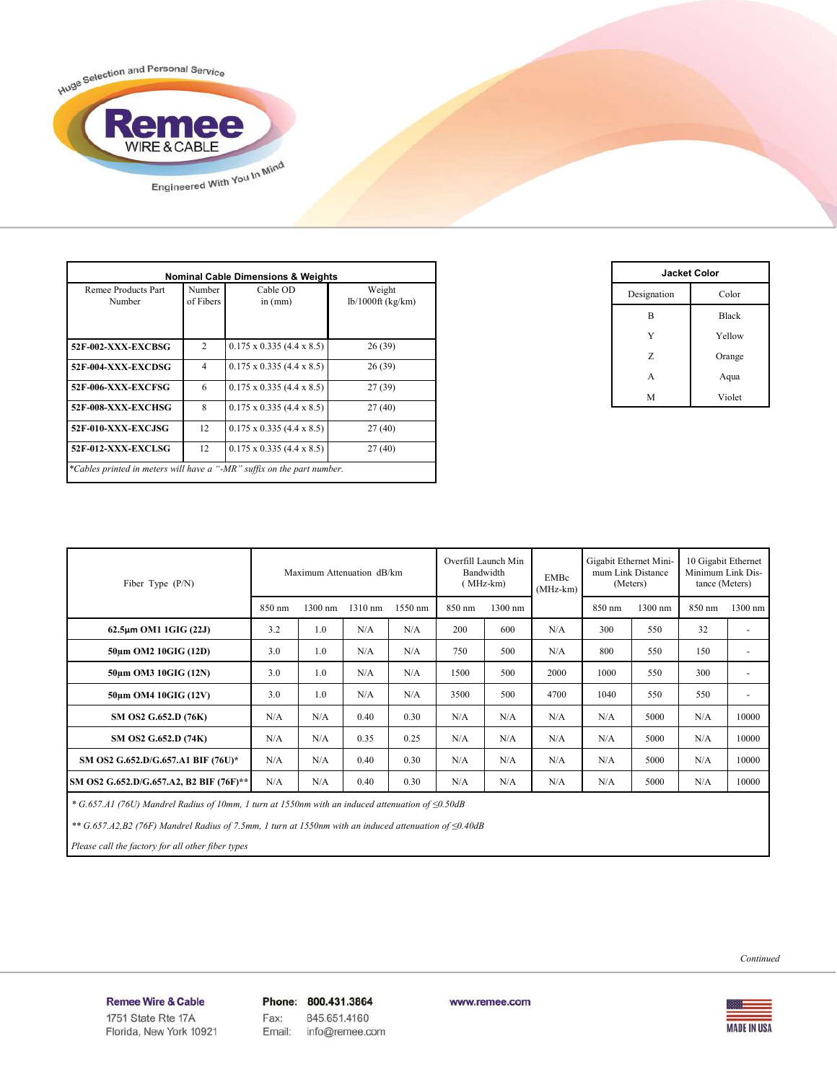

| Remee Products Part<br>Number | Number<br>of Fibers | Cable OD<br>in $(mm)$                 | Weight<br>$lb/1000ft$ (kg/km) |  |  |
|-------------------------------|---------------------|---------------------------------------|-------------------------------|--|--|
| 2<br>52F-002-XXX-EXCBSG       |                     | $0.175 \times 0.335$ (4.4 x 8.5)      | 26(39)                        |  |  |
| 52F-004-XXX-EXCDSG            | $\overline{4}$      | $0.175 \times 0.335$ (4.4 x 8.5)      | 26(39)                        |  |  |
| 52F-006-XXX-EXCFSG            | 6                   | $0.175 \times 0.335 (4.4 \times 8.5)$ | 27(39)                        |  |  |
| 52F-008-XXX-EXCHSG            | 8                   | $0.175 \times 0.335$ (4.4 x 8.5)      | 27(40)                        |  |  |
| 52F-010-XXX-EXCJSG            | 12                  | $0.175 \times 0.335 (4.4 \times 8.5)$ | 27(40)                        |  |  |
| 52F-012-XXX-EXCLSG            | 12                  | $0.175 \times 0.335$ (4.4 x 8.5)      | 27(40)                        |  |  |

| <b>Jacket Color</b> |              |  |  |  |  |  |  |
|---------------------|--------------|--|--|--|--|--|--|
| Designation         | Color        |  |  |  |  |  |  |
| B                   | <b>Black</b> |  |  |  |  |  |  |
| Y                   | Yellow       |  |  |  |  |  |  |
| Z                   | Orange       |  |  |  |  |  |  |
| A                   | Aqua         |  |  |  |  |  |  |
| M                   | Violet       |  |  |  |  |  |  |

| Fiber Type $(P/N)$                      | Maximum Attenuation dB/km |         |         | Overfill Launch Min<br>Bandwidth<br>(MHz-km) |        | EMBc<br>$(MHz-km)$ | Gigabit Ethernet Mini-<br>mum Link Distance<br>(Meters) |        | 10 Gigabit Ethernet<br>Minimum Link Dis-<br>tance (Meters) |        |                          |
|-----------------------------------------|---------------------------|---------|---------|----------------------------------------------|--------|--------------------|---------------------------------------------------------|--------|------------------------------------------------------------|--------|--------------------------|
|                                         | 850 nm                    | 1300 nm | 1310 nm | 1550 nm                                      | 850 nm | 1300 nm            |                                                         | 850 nm | 1300 nm                                                    | 850 nm | 1300 nm                  |
| 62.5µm OM1 1GIG (22J)                   | 3.2                       | 1.0     | N/A     | N/A                                          | 200    | 600                | N/A                                                     | 300    | 550                                                        | 32     | ٠                        |
| 50um OM2 10GIG (12D)                    | 3.0                       | 1.0     | N/A     | N/A                                          | 750    | 500                | N/A                                                     | 800    | 550                                                        | 150    | ٠                        |
| 50um OM3 10GIG (12N)                    | 3.0                       | 1.0     | N/A     | N/A                                          | 1500   | 500                | 2000                                                    | 1000   | 550                                                        | 300    | ۰                        |
| 50um OM4 10GIG (12V)                    | 3.0                       | 1.0     | N/A     | N/A                                          | 3500   | 500                | 4700                                                    | 1040   | 550                                                        | 550    | $\overline{\phantom{a}}$ |
| SM OS2 G.652.D (76K)                    | N/A                       | N/A     | 0.40    | 0.30                                         | N/A    | N/A                | N/A                                                     | N/A    | 5000                                                       | N/A    | 10000                    |
| SM OS2 G.652.D (74K)                    | N/A                       | N/A     | 0.35    | 0.25                                         | N/A    | N/A                | N/A                                                     | N/A    | 5000                                                       | N/A    | 10000                    |
| SM OS2 G.652.D/G.657.A1 BIF (76U)*      | N/A                       | N/A     | 0.40    | 0.30                                         | N/A    | N/A                | N/A                                                     | N/A    | 5000                                                       | N/A    | 10000                    |
| SM OS2 G.652.D/G.657.A2, B2 BIF (76F)** | N/A                       | N/A     | 0.40    | 0.30                                         | N/A    | N/A                | N/A                                                     | N/A    | 5000                                                       | N/A    | 10000                    |

 *\* G.657.A1 (76U) Mandrel Radius of 10mm, 1 turn at 1550nm with an induced attenuation of ≤0.50dB*

 *\*\* G.657.A2,B2 (76F) Mandrel Radius of 7.5mm, 1 turn at 1550nm with an induced attenuation of ≤0.40dB*

 *Please call the factory for all other fiber types*

*Continued*

Remee Wire & Cable Issue No.: 05

Florida, New York 10921

Phone: 800.431.3864 Fax: 845.651.4160 info@remee.com Email:

www.remee.com